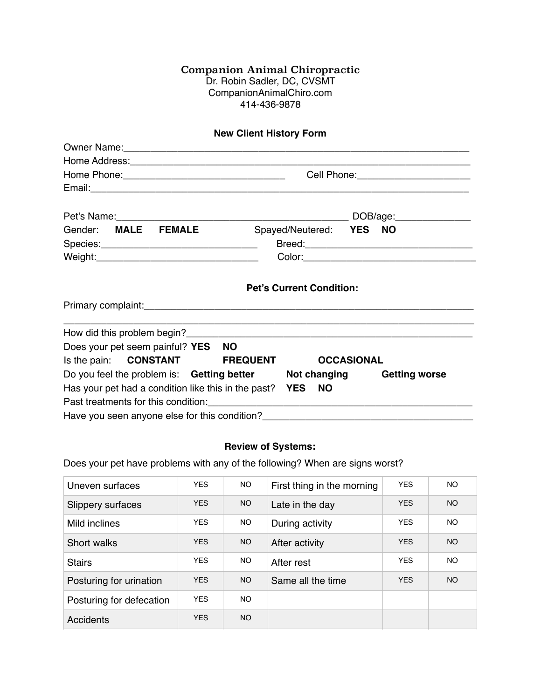## Companion Animal Chiropractic Dr. Robin Sadler, DC, CVSMT [CompanionAnimalChiro.com](http://CompanionAnimalChiro.com) 414-436-9878

| <b>New Client History Form</b>                          |                                                                                                      |  |  |  |  |  |
|---------------------------------------------------------|------------------------------------------------------------------------------------------------------|--|--|--|--|--|
|                                                         |                                                                                                      |  |  |  |  |  |
|                                                         |                                                                                                      |  |  |  |  |  |
|                                                         | Cell Phone: 2000 2000 2010 2010 2020 2020 2021 2021 2022 2021 2021 2021 2022 2022 2022 2021 2022 202 |  |  |  |  |  |
|                                                         |                                                                                                      |  |  |  |  |  |
|                                                         |                                                                                                      |  |  |  |  |  |
| Gender: MALE FEMALE                                     | Spayed/Neutered: YES NO                                                                              |  |  |  |  |  |
|                                                         |                                                                                                      |  |  |  |  |  |
|                                                         |                                                                                                      |  |  |  |  |  |
|                                                         | <b>Pet's Current Condition:</b>                                                                      |  |  |  |  |  |
|                                                         |                                                                                                      |  |  |  |  |  |
| Does your pet seem painful? YES NO                      |                                                                                                      |  |  |  |  |  |
| Is the pain: <b>CONSTANT</b> FREQUENT                   | <b>OCCASIONAL</b>                                                                                    |  |  |  |  |  |
|                                                         | Do you feel the problem is: Getting better Not changing Getting worse                                |  |  |  |  |  |
| Has your pet had a condition like this in the past? YES | - NO                                                                                                 |  |  |  |  |  |
|                                                         |                                                                                                      |  |  |  |  |  |

## **Review of Systems:**

Does your pet have problems with any of the following? When are signs worst?

| Uneven surfaces          | <b>YES</b> | NO.             | First thing in the morning | <b>YES</b> | NO.       |
|--------------------------|------------|-----------------|----------------------------|------------|-----------|
| Slippery surfaces        | <b>YES</b> | NO <sub>1</sub> | Late in the day            | <b>YES</b> | <b>NO</b> |
| Mild inclines            | <b>YES</b> | NO.             | During activity            | <b>YES</b> | NO.       |
| Short walks              | <b>YES</b> | NO.             | After activity             | <b>YES</b> | <b>NO</b> |
| <b>Stairs</b>            | <b>YES</b> | NO.             | After rest                 | <b>YES</b> | NO.       |
| Posturing for urination  | <b>YES</b> | NO.             | Same all the time          | <b>YES</b> | <b>NO</b> |
| Posturing for defecation | <b>YES</b> | NO.             |                            |            |           |
| <b>Accidents</b>         | <b>YES</b> | NO.             |                            |            |           |